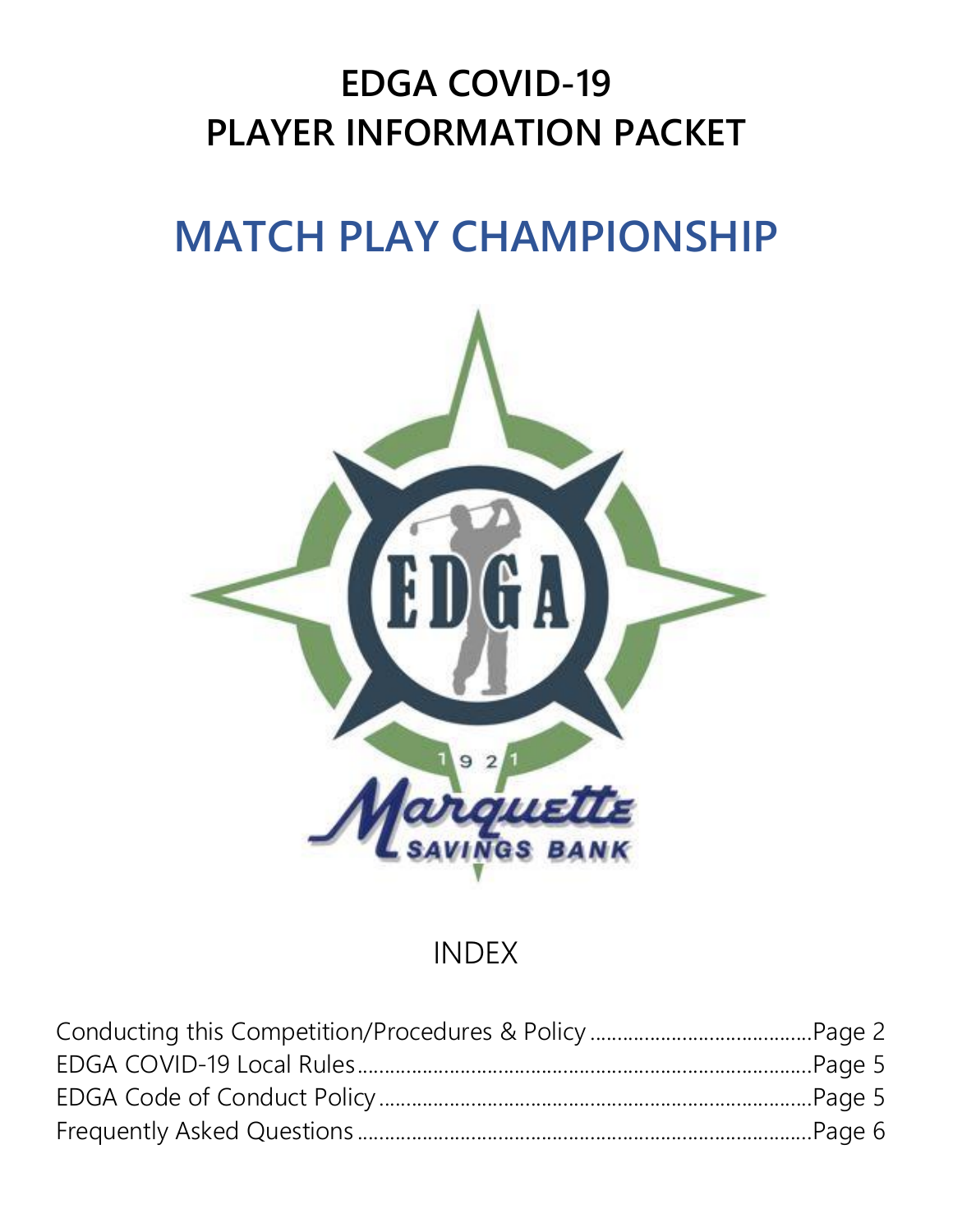## **EDGA COVID-19 PLAYER INFORMATION PACKET**

# **MATCH PLAY CHAMPIONSHIP**



### INDEX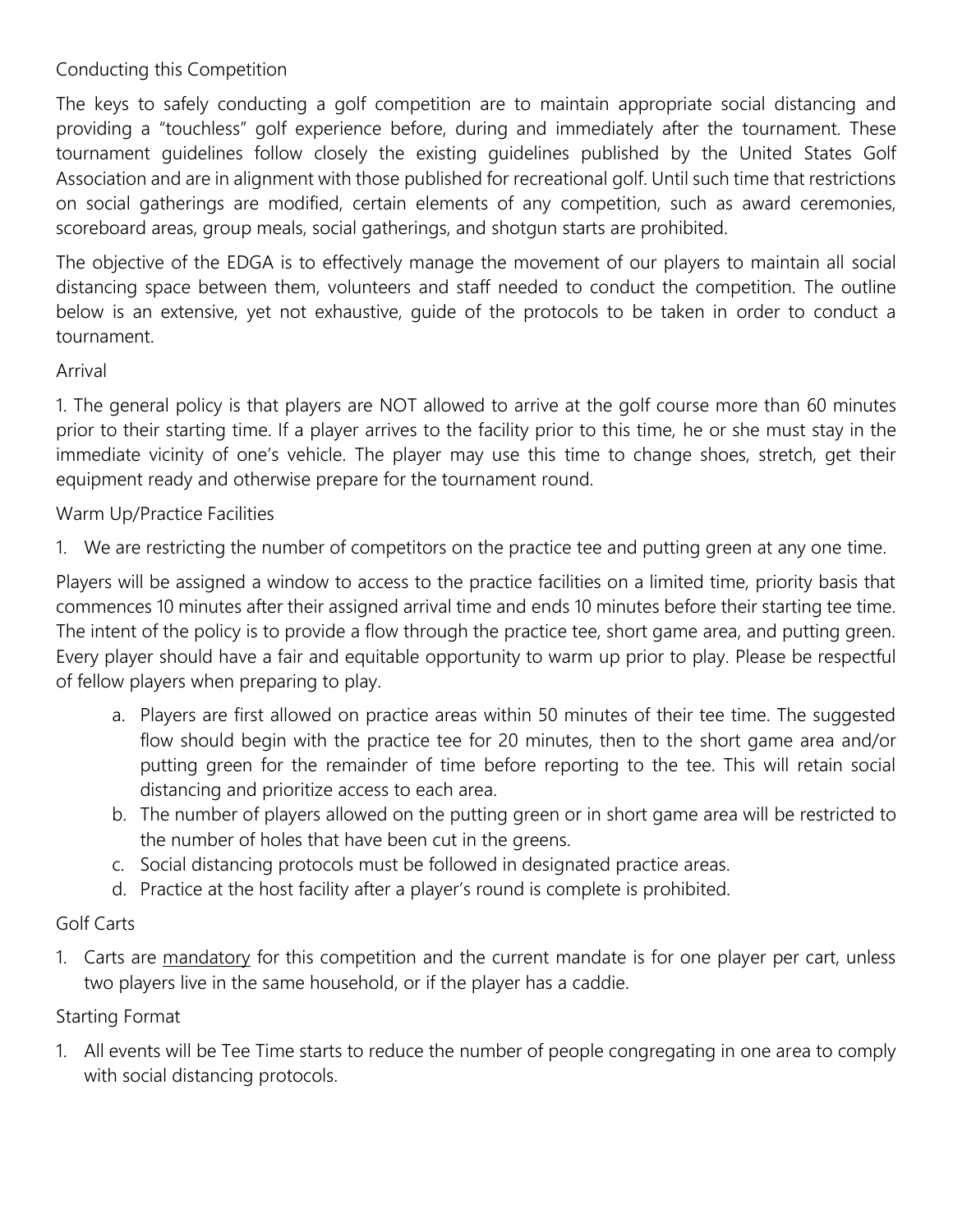#### Conducting this Competition

The keys to safely conducting a golf competition are to maintain appropriate social distancing and providing a "touchless" golf experience before, during and immediately after the tournament. These tournament guidelines follow closely the existing guidelines published by the United States Golf Association and are in alignment with those published for recreational golf. Until such time that restrictions on social gatherings are modified, certain elements of any competition, such as award ceremonies, scoreboard areas, group meals, social gatherings, and shotgun starts are prohibited.

The objective of the EDGA is to effectively manage the movement of our players to maintain all social distancing space between them, volunteers and staff needed to conduct the competition. The outline below is an extensive, yet not exhaustive, guide of the protocols to be taken in order to conduct a tournament.

#### Arrival

1. The general policy is that players are NOT allowed to arrive at the golf course more than 60 minutes prior to their starting time. If a player arrives to the facility prior to this time, he or she must stay in the immediate vicinity of one's vehicle. The player may use this time to change shoes, stretch, get their equipment ready and otherwise prepare for the tournament round.

#### Warm Up/Practice Facilities

1. We are restricting the number of competitors on the practice tee and putting green at any one time.

Players will be assigned a window to access to the practice facilities on a limited time, priority basis that commences 10 minutes after their assigned arrival time and ends 10 minutes before their starting tee time. The intent of the policy is to provide a flow through the practice tee, short game area, and putting green. Every player should have a fair and equitable opportunity to warm up prior to play. Please be respectful of fellow players when preparing to play.

- a. Players are first allowed on practice areas within 50 minutes of their tee time. The suggested flow should begin with the practice tee for 20 minutes, then to the short game area and/or putting green for the remainder of time before reporting to the tee. This will retain social distancing and prioritize access to each area.
- b. The number of players allowed on the putting green or in short game area will be restricted to the number of holes that have been cut in the greens.
- c. Social distancing protocols must be followed in designated practice areas.
- d. Practice at the host facility after a player's round is complete is prohibited.

#### Golf Carts

1. Carts are mandatory for this competition and the current mandate is for one player per cart, unless two players live in the same household, or if the player has a caddie.

#### Starting Format

1. All events will be Tee Time starts to reduce the number of people congregating in one area to comply with social distancing protocols.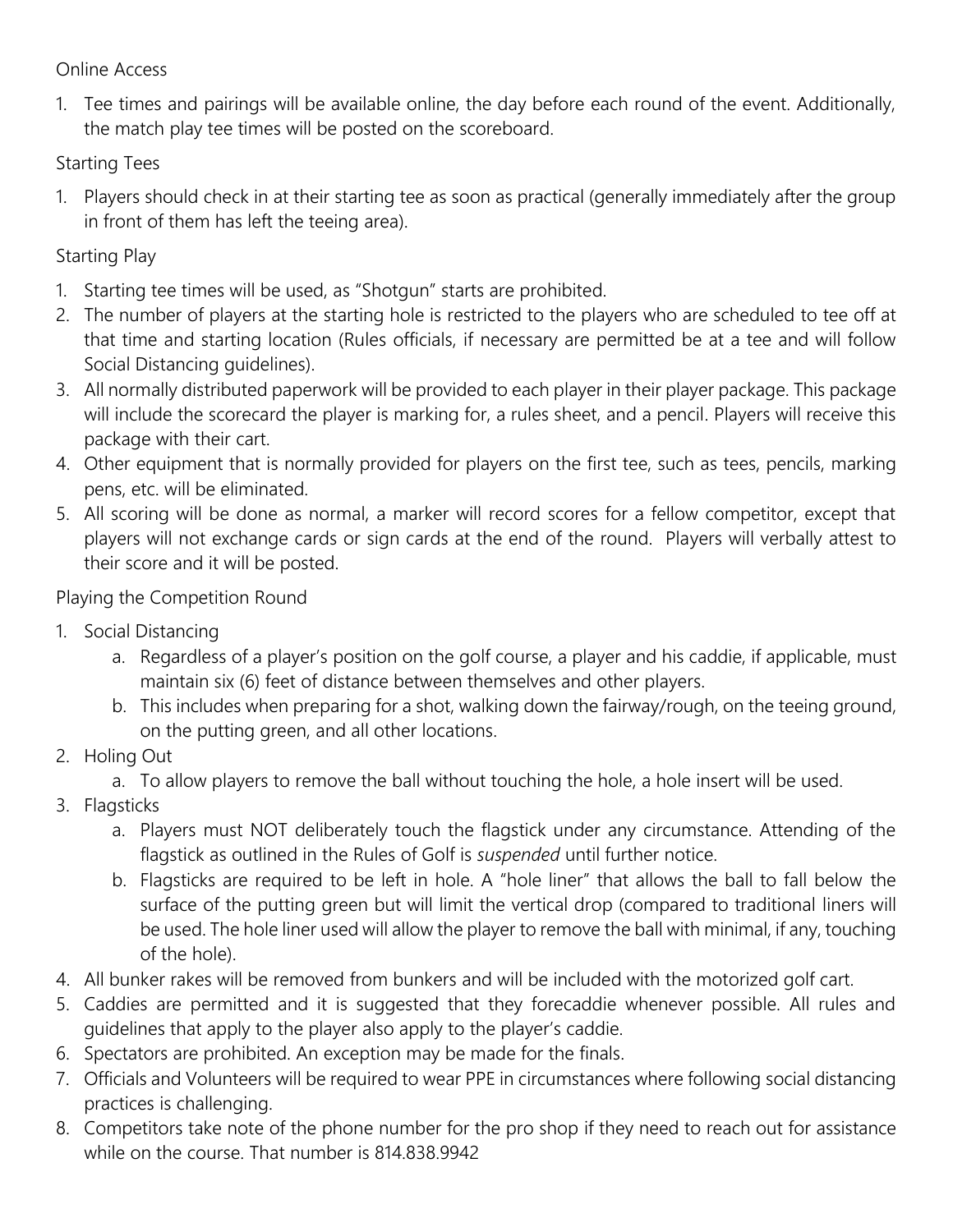#### Online Access

1. Tee times and pairings will be available online, the day before each round of the event. Additionally, the match play tee times will be posted on the scoreboard.

Starting Tees

1. Players should check in at their starting tee as soon as practical (generally immediately after the group in front of them has left the teeing area).

#### Starting Play

- 1. Starting tee times will be used, as "Shotgun" starts are prohibited.
- 2. The number of players at the starting hole is restricted to the players who are scheduled to tee off at that time and starting location (Rules officials, if necessary are permitted be at a tee and will follow Social Distancing guidelines).
- 3. All normally distributed paperwork will be provided to each player in their player package. This package will include the scorecard the player is marking for, a rules sheet, and a pencil. Players will receive this package with their cart.
- 4. Other equipment that is normally provided for players on the first tee, such as tees, pencils, marking pens, etc. will be eliminated.
- 5. All scoring will be done as normal, a marker will record scores for a fellow competitor, except that players will not exchange cards or sign cards at the end of the round. Players will verbally attest to their score and it will be posted.

Playing the Competition Round

- 1. Social Distancing
	- a. Regardless of a player's position on the golf course, a player and his caddie, if applicable, must maintain six (6) feet of distance between themselves and other players.
	- b. This includes when preparing for a shot, walking down the fairway/rough, on the teeing ground, on the putting green, and all other locations.
- 2. Holing Out
	- a. To allow players to remove the ball without touching the hole, a hole insert will be used.
- 3. Flagsticks
	- a. Players must NOT deliberately touch the flagstick under any circumstance. Attending of the flagstick as outlined in the Rules of Golf is *suspended* until further notice.
	- b. Flagsticks are required to be left in hole. A "hole liner" that allows the ball to fall below the surface of the putting green but will limit the vertical drop (compared to traditional liners will be used. The hole liner used will allow the player to remove the ball with minimal, if any, touching of the hole).
- 4. All bunker rakes will be removed from bunkers and will be included with the motorized golf cart.
- 5. Caddies are permitted and it is suggested that they forecaddie whenever possible. All rules and guidelines that apply to the player also apply to the player's caddie.
- 6. Spectators are prohibited. An exception may be made for the finals.
- 7. Officials and Volunteers will be required to wear PPE in circumstances where following social distancing practices is challenging.
- 8. Competitors take note of the phone number for the pro shop if they need to reach out for assistance while on the course. That number is 814.838.9942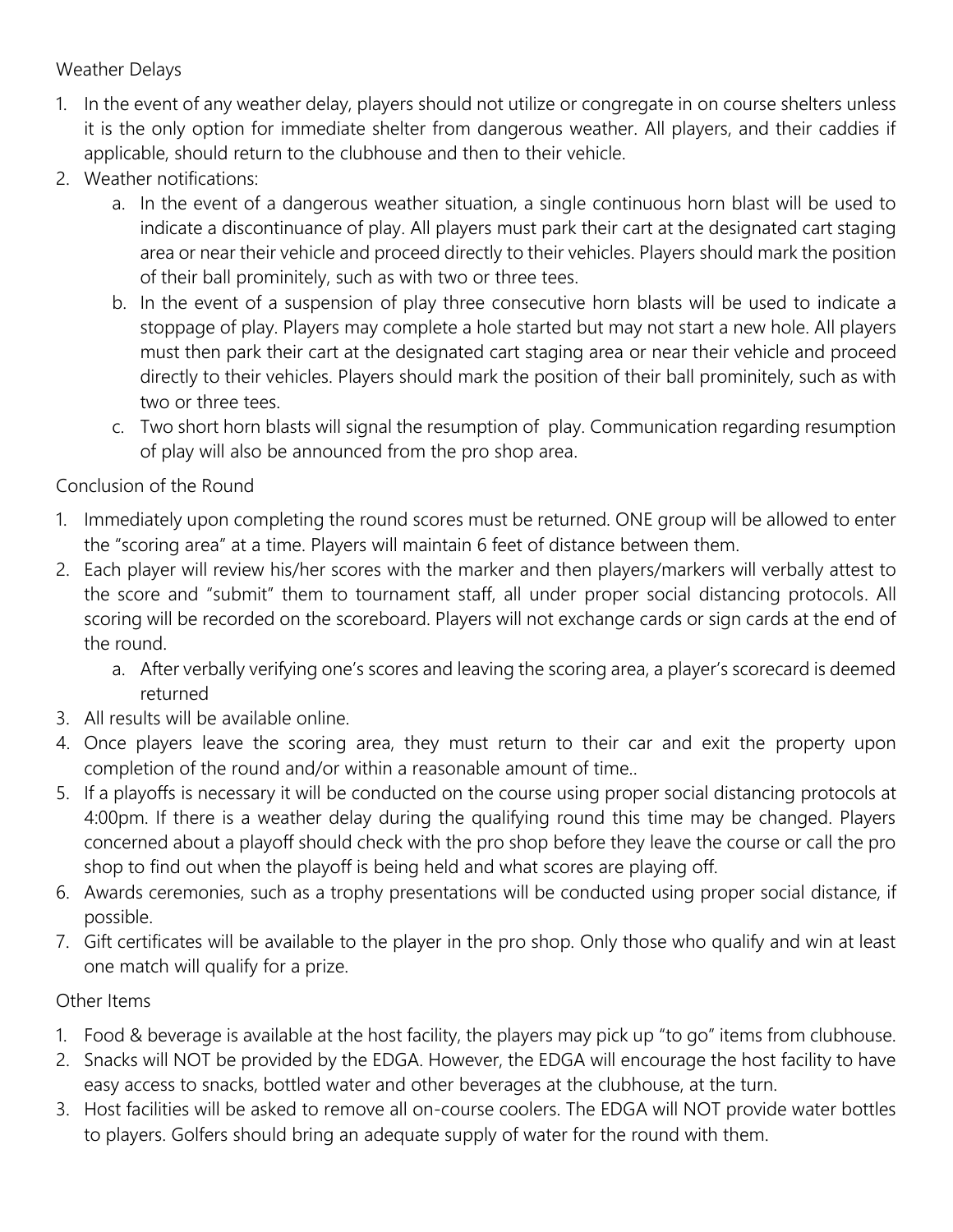#### Weather Delays

- 1. In the event of any weather delay, players should not utilize or congregate in on course shelters unless it is the only option for immediate shelter from dangerous weather. All players, and their caddies if applicable, should return to the clubhouse and then to their vehicle.
- 2. Weather notifications:
	- a. In the event of a dangerous weather situation, a single continuous horn blast will be used to indicate a discontinuance of play. All players must park their cart at the designated cart staging area or near their vehicle and proceed directly to their vehicles. Players should mark the position of their ball prominitely, such as with two or three tees.
	- b. In the event of a suspension of play three consecutive horn blasts will be used to indicate a stoppage of play. Players may complete a hole started but may not start a new hole. All players must then park their cart at the designated cart staging area or near their vehicle and proceed directly to their vehicles. Players should mark the position of their ball prominitely, such as with two or three tees.
	- c. Two short horn blasts will signal the resumption of play. Communication regarding resumption of play will also be announced from the pro shop area.

#### Conclusion of the Round

- 1. Immediately upon completing the round scores must be returned. ONE group will be allowed to enter the "scoring area" at a time. Players will maintain 6 feet of distance between them.
- 2. Each player will review his/her scores with the marker and then players/markers will verbally attest to the score and "submit" them to tournament staff, all under proper social distancing protocols. All scoring will be recorded on the scoreboard. Players will not exchange cards or sign cards at the end of the round.
	- a. After verbally verifying one's scores and leaving the scoring area, a player's scorecard is deemed returned
- 3. All results will be available online.
- 4. Once players leave the scoring area, they must return to their car and exit the property upon completion of the round and/or within a reasonable amount of time..
- 5. If a playoffs is necessary it will be conducted on the course using proper social distancing protocols at 4:00pm. If there is a weather delay during the qualifying round this time may be changed. Players concerned about a playoff should check with the pro shop before they leave the course or call the pro shop to find out when the playoff is being held and what scores are playing off.
- 6. Awards ceremonies, such as a trophy presentations will be conducted using proper social distance, if possible.
- 7. Gift certificates will be available to the player in the pro shop. Only those who qualify and win at least one match will qualify for a prize.

#### Other Items

- 1. Food & beverage is available at the host facility, the players may pick up "to go" items from clubhouse.
- 2. Snacks will NOT be provided by the EDGA. However, the EDGA will encourage the host facility to have easy access to snacks, bottled water and other beverages at the clubhouse, at the turn.
- 3. Host facilities will be asked to remove all on-course coolers. The EDGA will NOT provide water bottles to players. Golfers should bring an adequate supply of water for the round with them.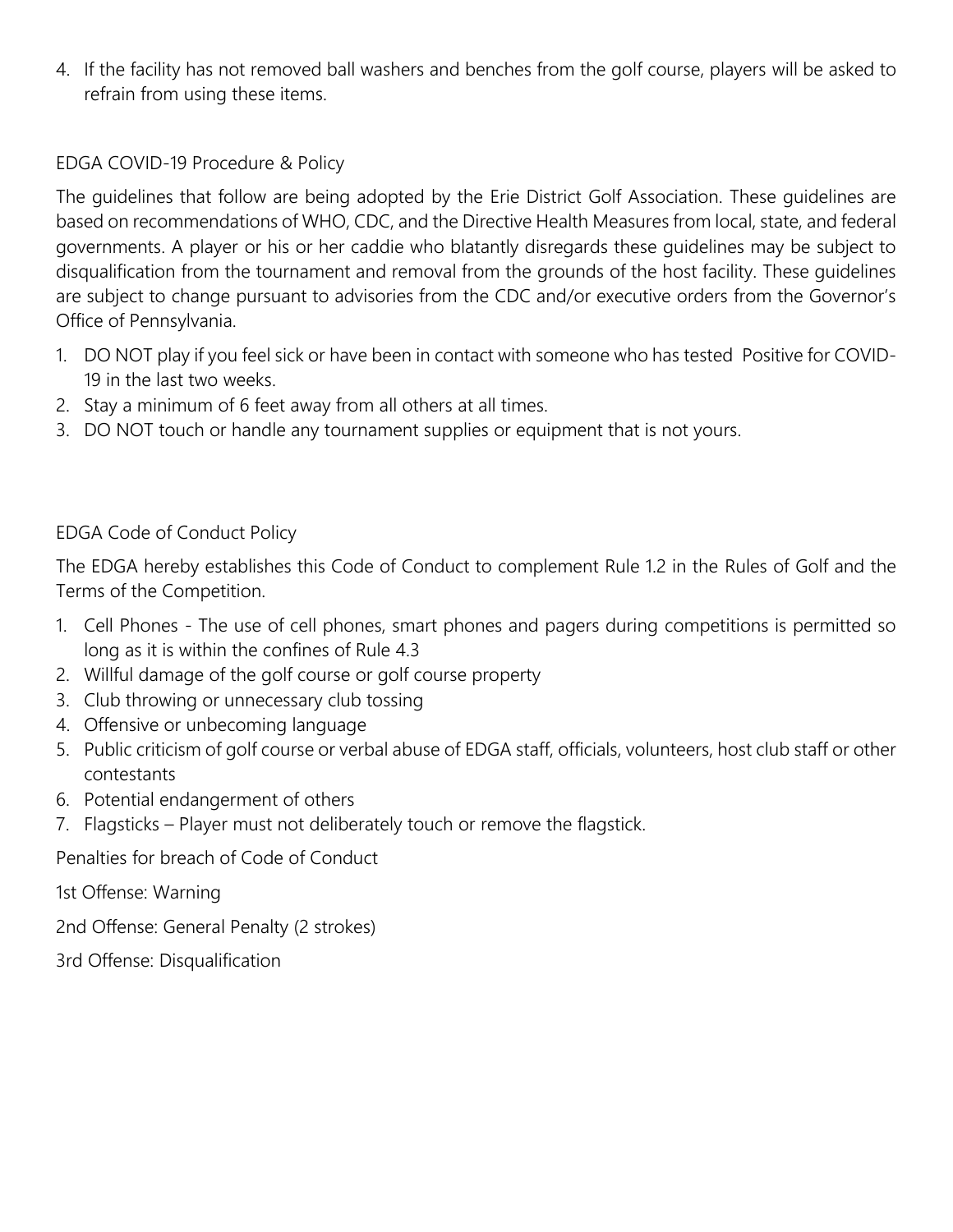4. If the facility has not removed ball washers and benches from the golf course, players will be asked to refrain from using these items.

#### EDGA COVID-19 Procedure & Policy

The guidelines that follow are being adopted by the Erie District Golf Association. These guidelines are based on recommendations of WHO, CDC, and the Directive Health Measures from local, state, and federal governments. A player or his or her caddie who blatantly disregards these guidelines may be subject to disqualification from the tournament and removal from the grounds of the host facility. These guidelines are subject to change pursuant to advisories from the CDC and/or executive orders from the Governor's Office of Pennsylvania.

- 1. DO NOT play if you feel sick or have been in contact with someone who has tested Positive for COVID-19 in the last two weeks.
- 2. Stay a minimum of 6 feet away from all others at all times.
- 3. DO NOT touch or handle any tournament supplies or equipment that is not yours.

#### EDGA Code of Conduct Policy

The EDGA hereby establishes this Code of Conduct to complement Rule 1.2 in the Rules of Golf and the Terms of the Competition.

- 1. Cell Phones The use of cell phones, smart phones and pagers during competitions is permitted so long as it is within the confines of Rule 4.3
- 2. Willful damage of the golf course or golf course property
- 3. Club throwing or unnecessary club tossing
- 4. Offensive or unbecoming language
- 5. Public criticism of golf course or verbal abuse of EDGA staff, officials, volunteers, host club staff or other contestants
- 6. Potential endangerment of others
- 7. Flagsticks Player must not deliberately touch or remove the flagstick.

Penalties for breach of Code of Conduct

1st Offense: Warning

2nd Offense: General Penalty (2 strokes)

3rd Offense: Disqualification